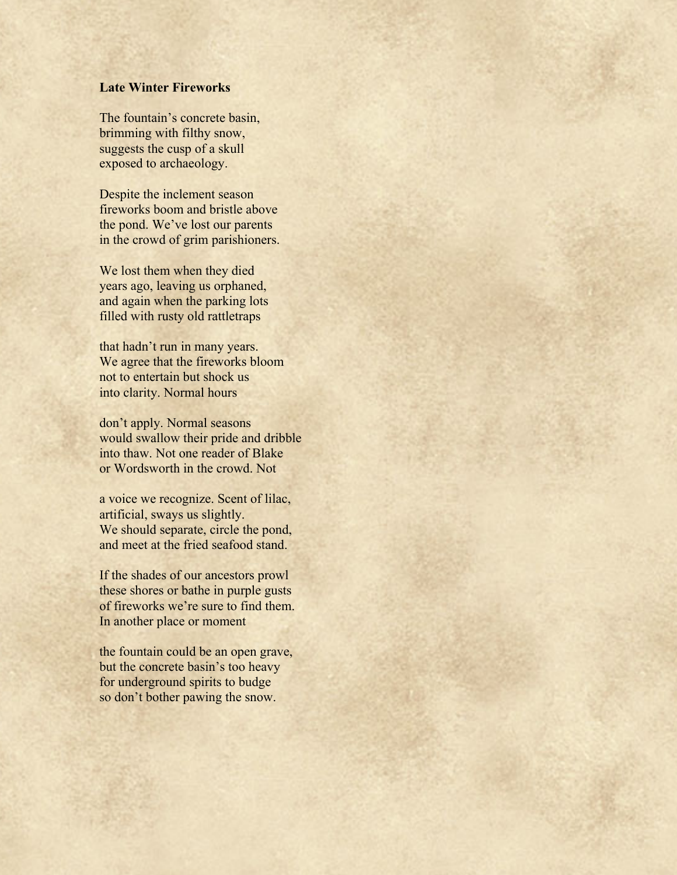## **Late Winter Fireworks**

The fountain's concrete basin, brimming with filthy snow, suggests the cusp of a skull exposed to archaeology.

Despite the inclement season fireworks boom and bristle above the pond. We've lost our parents in the crowd of grim parishioners.

We lost them when they died years ago, leaving us orphaned, and again when the parking lots filled with rusty old rattletraps

that hadn't run in many years. We agree that the fireworks bloom not to entertain but shock us into clarity. Normal hours

don't apply. Normal seasons would swallow their pride and dribble into thaw. Not one reader of Blake or Wordsworth in the crowd. Not

a voice we recognize. Scent of lilac, artificial, sways us slightly. We should separate, circle the pond, and meet at the fried seafood stand.

If the shades of our ancestors prowl these shores or bathe in purple gusts of fireworks we're sure to find them. In another place or moment

the fountain could be an open grave, but the concrete basin's too heavy for underground spirits to budge so don't bother pawing the snow.